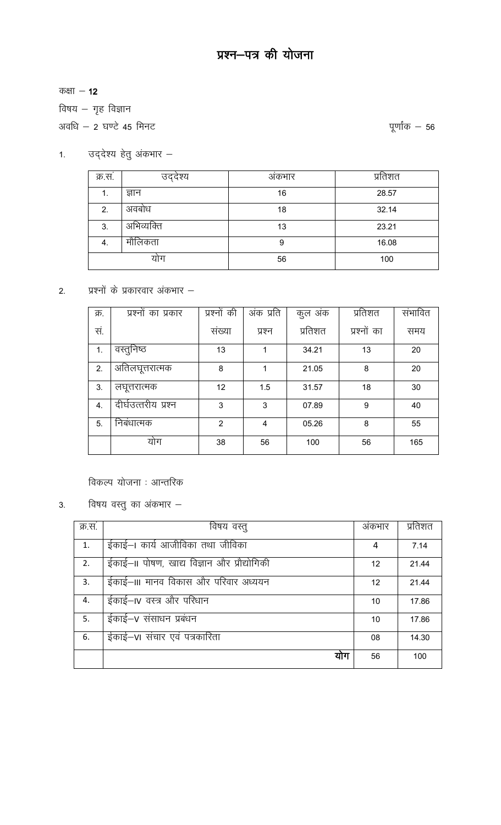कक्षा  $-12$ 

विषय – गृह विज्ञान

अवधि - 2 घण्टे 45 मिनट

पूर्णांक  $-56$ 

1. उद्देश्य हेतु अंकभार $-$ 

| क्र.स. | उद्देश्य   | अंकभार | प्रतिशत |
|--------|------------|--------|---------|
| ι.     | ज्ञान      | 16     | 28.57   |
| 2.     | अवबोध      | 18     | 32.14   |
| 3.     | अभिव्यक्ति | 13     | 23.21   |
| 4.     | मौलिकता    | 9      | 16.08   |
|        | योग        | 56     | 100     |

2. प्रश्नों के प्रकारवार अंकभार  $-$ 

| क्र. | प्रश्नों का प्रकार  | प्रश्नों की    | अंक प्रति | कुल अंक | प्रतिशत     | संभावित |
|------|---------------------|----------------|-----------|---------|-------------|---------|
| सं.  |                     | संख्या         | प्रश्न    | प्रतिशत | प्रश्नों का | समय     |
| 1.   | वस्तुनिष्ठ          | 13             | 1         | 34.21   | 13          | 20      |
| 2.   | अतिलघूत्तरात्मक     | 8              | 1         | 21.05   | 8           | 20      |
| 3.   | लघूत्तरात्मक        | 12             | 1.5       | 31.57   | 18          | 30      |
| 4.   | दीर्घउत्तरीय प्रश्न | 3              | 3         | 07.89   | 9           | 40      |
| 5.   | निबंधात्मक          | $\overline{2}$ | 4         | 05.26   | 8           | 55      |
|      | योग                 | 38             | 56        | 100     | 56          | 165     |

विकल्प योजना : आन्तरिक

विषय वस्तु का अंकभार  $3.$ 

| क्र.स. | विषय वस्तु                                 | अकभार | प्रतिशत |
|--------|--------------------------------------------|-------|---------|
| 1.     | ईकाई–। कार्य आजीविका तथा जीविका            | 4     | 7.14    |
| 2.     | ईकाई—॥ पोषण, खाद्य विज्ञान और प्रौद्योगिकी | 12    | 21.44   |
| 3.     | ईकाई—III मानव विकास और परिवार अध्ययन       | 12    | 21.44   |
| 4.     | ईकाई–IV वस्त्र और परिधान                   | 10    | 17.86   |
| 5.     | ईकाई–v संसाधन प्रबंधन                      | 10    | 17.86   |
| 6.     | ईकाई–vi संचार एवं पत्रकारिता               | 08    | 14.30   |
|        | योग                                        | 56    | 100     |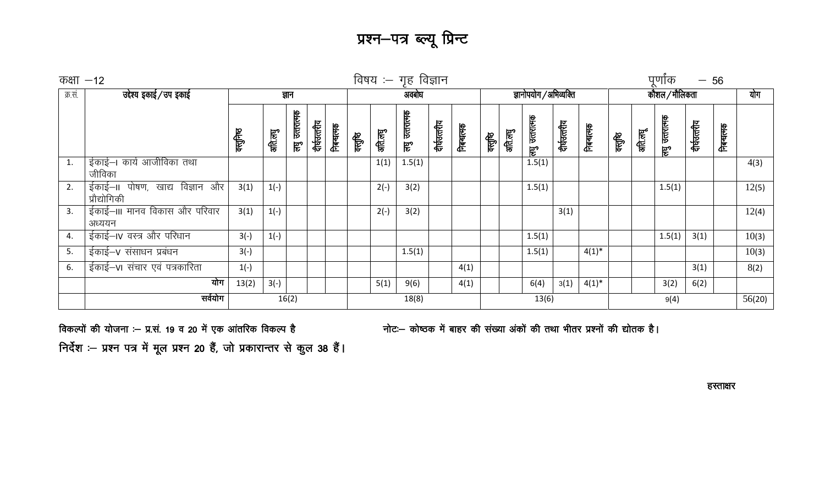प्रश्न–पत्र ब्ल्यू प्रिन्ट

|         | पूर्णांक<br>विषय :– गृह विज्ञान<br>कक्षा $-12$<br>$-56$ |         |         |                |              |            |        |         |                |              |            |                        |         |                |              |            |                |         |                   |              |            |        |
|---------|---------------------------------------------------------|---------|---------|----------------|--------------|------------|--------|---------|----------------|--------------|------------|------------------------|---------|----------------|--------------|------------|----------------|---------|-------------------|--------------|------------|--------|
| क्र.सं. | उद्देश्य इकाई / उप इकाई                                 |         |         | ज्ञान          |              |            | अवबोध  |         |                |              |            | ज्ञानोपयोग /अभिव्यक्ति |         |                |              |            | कौशल / मौलिकता |         |                   |              |            | योग    |
|         |                                                         | क्लूनिष | अति.लघु | लघु उत्तरात्मक | दीर्घउत्तरीय | निबन्धत्मक | क्तूषि | अति.लघु | लघु उत्तरात्मक | दीर्घउत्तरीय | निबन्धत्मक | ग्लुलि                 | अति.लघु | लघु उत्तरात्मक | दीर्घउत्तरीय | निबन्धत्मक | ग्लुषि         | अति.लघू | उत्तरात्मक<br>हुण | दीर्घउत्तरीय | निबन्धत्मक |        |
| 1.      | ईकाई–। कार्य आजीविका तथा<br>जीविका                      |         |         |                |              |            |        | 1(1)    | 1.5(1)         |              |            |                        |         | 1.5(1)         |              |            |                |         |                   |              |            | 4(3)   |
| 2.      | ईकाई–॥ पोषण, खाद्य विज्ञान और<br>प्रौद्योगिकी           | 3(1)    | $1(-)$  |                |              |            |        | $2(-)$  | 3(2)           |              |            |                        |         | 1.5(1)         |              |            |                |         | 1.5(1)            |              |            | 12(5)  |
| 3.      | ईकाई—III मानव विकास और परिवार<br>अध्ययन                 | 3(1)    | $1(-)$  |                |              |            |        | $2(-)$  | 3(2)           |              |            |                        |         |                | 3(1)         |            |                |         |                   |              |            | 12(4)  |
| 4.      | ईकाई–IV वस्त्र और परिधान                                | $3(-)$  | $1(-)$  |                |              |            |        |         |                |              |            |                        |         | 1.5(1)         |              |            |                |         | 1.5(1)            | 3(1)         |            | 10(3)  |
| 5.      | ईकाई–v संसाधन प्रबंधन                                   | $3(-)$  |         |                |              |            |        |         | 1.5(1)         |              |            |                        |         | 1.5(1)         |              | $4(1)^{*}$ |                |         |                   |              |            | 10(3)  |
| 6.      | ईकाई-VI संचार एवं पत्रकारिता                            | $1(-)$  |         |                |              |            |        |         |                |              | 4(1)       |                        |         |                |              |            |                |         |                   | 3(1)         |            | 8(2)   |
|         | योग                                                     | 13(2)   | $3(-)$  |                |              |            |        | 5(1)    | 9(6)           |              | 4(1)       |                        |         | 6(4)           | 3(1)         | $4(1)^{*}$ |                |         | 3(2)              | 6(2)         |            |        |
|         | सर्वयोग                                                 |         |         | 16(2)          |              |            |        |         | 18(8)          |              |            |                        |         | 13(6)          |              |            |                |         | 9(4)              |              |            | 56(20) |

विकल्पों की योजना :- प्र.सं. 19 व 20 में एक आंतरिक विकल्प है निर्देश :- प्रश्न पत्र में मूल प्रश्न 20 हैं, जो प्रकारान्तर से कुल 38 हैं। नोट:- कोष्ठक में बाहर की संख्या अंकों की तथा भीतर प्रश्नों की द्योतक है।

हस्ताक्षर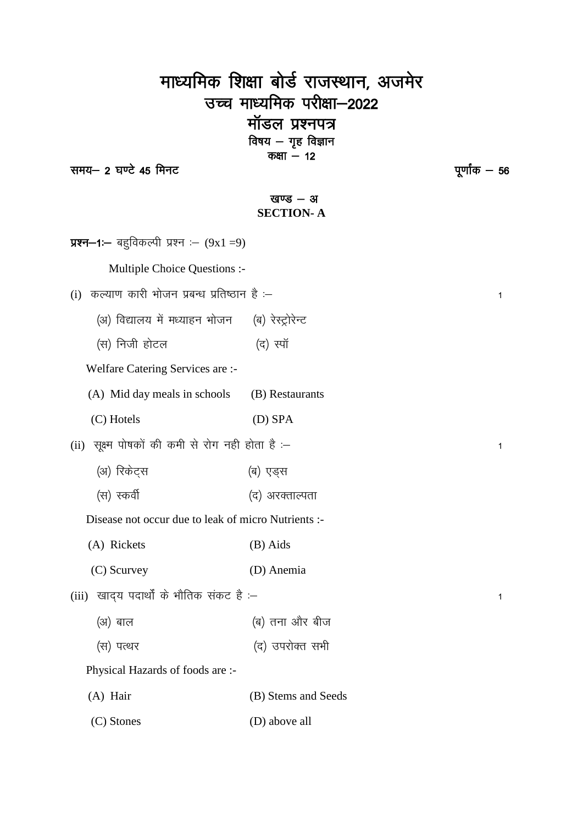# माध्यमिक शिक्षा बोर्ड राजस्थान, अजमेर उच्च माध्यमिक परीक्षा-2022 मॉडल प्रश्नपत्र ... . . . . . . . .<br>विषय — गृह विज्ञान<br>कक्षा — 12

समय- 2 घण्टे 45 मिनट

पूर्णांक — 56

 $\overline{1}$ 

 $\overline{1}$ 

 $\overline{1}$ 

## खण्ड $-$  अ **SECTION-A**

| <b>प्रश्न—1—</b> बहुविकल्पी प्रश्न :— (9x1 =9)      |                     |
|-----------------------------------------------------|---------------------|
| Multiple Choice Questions :-                        |                     |
| कल्याण कारी भोजन प्रबन्ध प्रतिष्ठान है :–<br>(i)    |                     |
| (अ) विद्यालय में मध्याहन भोजन                       | (ब) रेस्ट्रोरेन्ट   |
| (स) निजी होटल                                       | (द) स्पॉ            |
| Welfare Catering Services are :-                    |                     |
| (A) Mid day meals in schools                        | (B) Restaurants     |
| (C) Hotels                                          | (D) SPA             |
| (ii) सूक्ष्म पोषकों की कमी से रोग नही होता है :–    |                     |
| (अ) रिकेट्स                                         | (ब) एड्स            |
| (स) स्कर्वी                                         | (द) अरक्ताल्पता     |
| Disease not occur due to leak of micro Nutrients :- |                     |
| (A) Rickets                                         | (B) Aids            |
| (C) Scurvey                                         | (D) Anemia          |
| खाद्य पदार्थों के भौतिक संकट है :–<br>(iii)         |                     |
| (अ) बाल                                             | (ब) तना और बीज      |
| (स) पत्थर                                           | (द) उपरोक्त सभी     |
| Physical Hazards of foods are :-                    |                     |
| (A) Hair                                            | (B) Stems and Seeds |
| (C) Stones                                          | (D) above all       |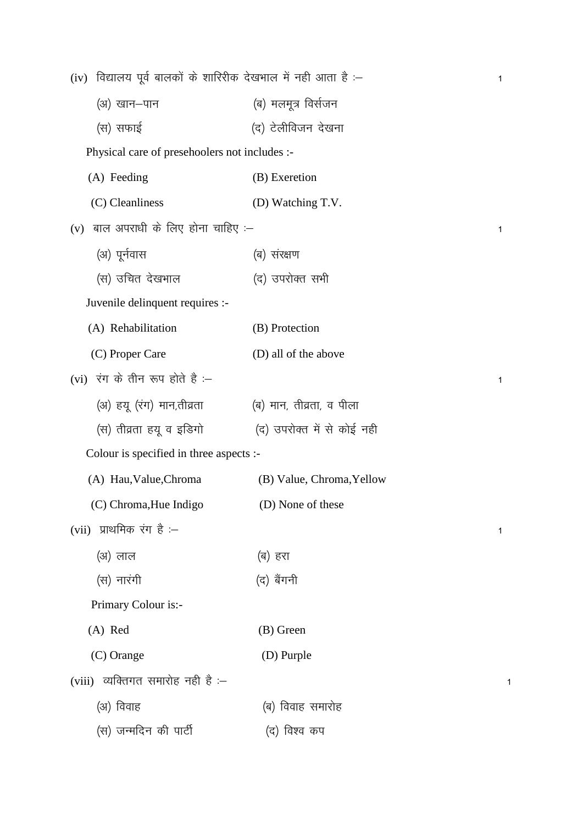| (iv) विद्यालय पूर्व बालकों के शारिरीक देखभाल में नही आता है :– |                            | 1            |
|----------------------------------------------------------------|----------------------------|--------------|
| (अ) खान–पान                                                    | (ब) मलमूत्र विर्सजन        |              |
| (स) सफाई                                                       | (द) टेलीविजन देखना         |              |
| Physical care of presehoolers not includes :-                  |                            |              |
| (A) Feeding                                                    | (B) Exeretion              |              |
| (C) Cleanliness                                                | (D) Watching T.V.          |              |
| $(v)$ बाल अपराधी के लिए होना चाहिए :–                          |                            | $\mathbf{1}$ |
| (अ) पूर्नवास                                                   | (ब) संरक्षण                |              |
| (स) उचित देखभाल                                                | (द) उपरोक्त सभी            |              |
| Juvenile delinquent requires :-                                |                            |              |
| (A) Rehabilitation                                             | (B) Protection             |              |
| (C) Proper Care                                                | (D) all of the above       |              |
| (vi) रंग के तीन रूप होते हैं :-                                |                            | 1            |
| (अ) हयू (रंग) मान,तीव्रता                                      | (ब) मान, तीव्रता, व पीला   |              |
| (स) तीव्रता हयू व इडिगो                                        | (द) उपरोक्त में से कोई नही |              |
| Colour is specified in three aspects :-                        |                            |              |
| (A) Hau, Value, Chroma                                         | (B) Value, Chroma, Yellow  |              |
| (C) Chroma, Hue Indigo                                         | (D) None of these          |              |
| (vii) प्राथमिक रंग है $-$                                      |                            | 1            |
| (अ) लाल                                                        | (ब) हरा                    |              |
| (स) नारंगी                                                     | (द) बैंगनी                 |              |
| Primary Colour is:-                                            |                            |              |
| (A) Red                                                        | (B) Green                  |              |
| (C) Orange                                                     | (D) Purple                 |              |
| (viii) व्यक्तिगत समारोह नही है $-$                             |                            |              |
| (अ) विवाह                                                      | (ब) विवाह समारोह           |              |
| (स) जन्मदिन की पार्टी                                          | (द) विश्व कप               |              |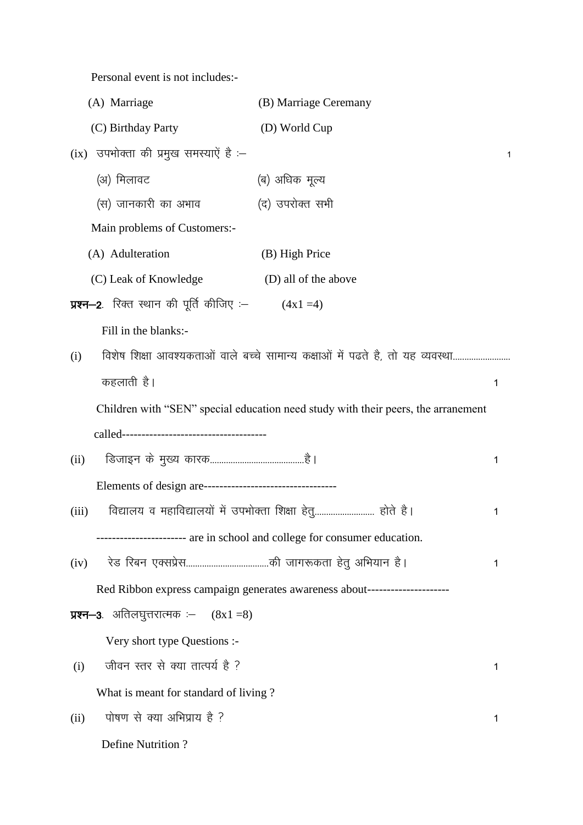Personal event is not includes:-

| (A) Marriage                                     | (B) Marriage Ceremany                                                             |   |
|--------------------------------------------------|-----------------------------------------------------------------------------------|---|
| (C) Birthday Party                               | (D) World Cup                                                                     |   |
| उपभोक्ता की प्रमुख समस्याऐं है :-<br>(ix)        |                                                                                   | 1 |
| (अ) मिलावट                                       | (ब) अधिक मूल्य                                                                    |   |
| (स) जानकारी का अभाव                              | (द) उपरोक्त सभी                                                                   |   |
| Main problems of Customers:-                     |                                                                                   |   |
| (A) Adulteration                                 | (B) High Price                                                                    |   |
| (C) Leak of Knowledge                            | (D) all of the above                                                              |   |
| <b>प्रश्न–2</b> . रिक्त स्थान की पूर्ति कीजिए :– | $(4x1=4)$                                                                         |   |
| Fill in the blanks:-                             |                                                                                   |   |
| (i)                                              | विशेष शिक्षा आवश्यकताओं वाले बच्चे सामान्य कक्षाओं में पढते है, तो यह व्यवस्था    |   |
| कहलाती है।                                       |                                                                                   | 1 |
|                                                  | Children with "SEN" special education need study with their peers, the arranement |   |
|                                                  |                                                                                   |   |
| (ii)                                             |                                                                                   | 1 |
|                                                  |                                                                                   |   |
| (iii)                                            | विद्यालय व महाविद्यालयों में उपभोक्ता शिक्षा हेतु होते है।                        | 1 |
|                                                  | ----------------------- are in school and college for consumer education.         |   |
| (iv)                                             |                                                                                   | 1 |
|                                                  | Red Ribbon express campaign generates awareness about----------------------       |   |
| <b>प्रश्न—3</b> . अतिलघुत्तरात्मक :— $(8x1=8)$   |                                                                                   |   |
| Very short type Questions :-                     |                                                                                   |   |
| जीवन स्तर से क्या तात्पर्य है ?<br>(i)           |                                                                                   | 1 |
| What is meant for standard of living?            |                                                                                   |   |
| पोषण से क्या अभिप्राय है ?<br>(ii)               |                                                                                   | 1 |
| <b>Define Nutrition?</b>                         |                                                                                   |   |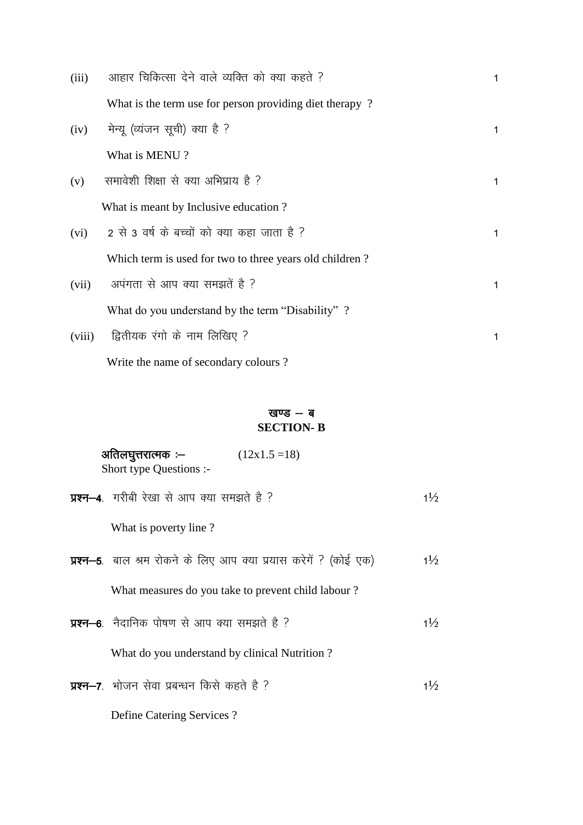| (iii)  | आहार चिकित्सा देने वाले व्यक्ति को क्या कहते ?          | 1           |
|--------|---------------------------------------------------------|-------------|
|        | What is the term use for person providing diet therapy? |             |
| (iv)   | मेन्यू (व्यंजन सूची) क्या है ?                          | 1           |
|        | What is MENU?                                           |             |
| (v)    | समावेशी शिक्षा से क्या अभिप्राय है ?                    | $\mathbf 1$ |
|        | What is meant by Inclusive education?                   |             |
| (vi)   | 2 से 3 वर्ष के बच्चों को क्या कहा जाता है ?             | 1           |
|        | Which term is used for two to three years old children? |             |
| (vii)  | अपंगता से आप क्या समझतें है ?                           | 1           |
|        | What do you understand by the term "Disability"?        |             |
| (viii) | द्वितीयक रंगो के नाम लिखिए ?                            | 1           |
|        |                                                         |             |

Write the name of secondary colours?

### खण्ड - ब **SECTION-B**

| अतिलघुत्तरात्मक :–<br>$(12x1.5=18)$<br>Short type Questions :-           |                |
|--------------------------------------------------------------------------|----------------|
| <b>प्रश्न–4</b> . गरीबी रेखा से आप क्या समझते है ?                       | $1\frac{1}{2}$ |
| What is poverty line?                                                    |                |
| <b>प्रश्न–5</b> . बाल श्रम रोकने के लिए आप क्या प्रयास करेगें ? (कोई एक) | $1\frac{1}{2}$ |
| What measures do you take to prevent child labour?                       |                |
| <b>प्रश्न—6</b> .  नैदानिक पोषण से आप क्या समझते है ?                    | $1\frac{1}{2}$ |
| What do you understand by clinical Nutrition?                            |                |
| <b>प्रश्न–7</b> . भोजन सेवा प्रबन्धन किसे कहते है ?                      | $1\frac{1}{2}$ |
| Define Catering Services?                                                |                |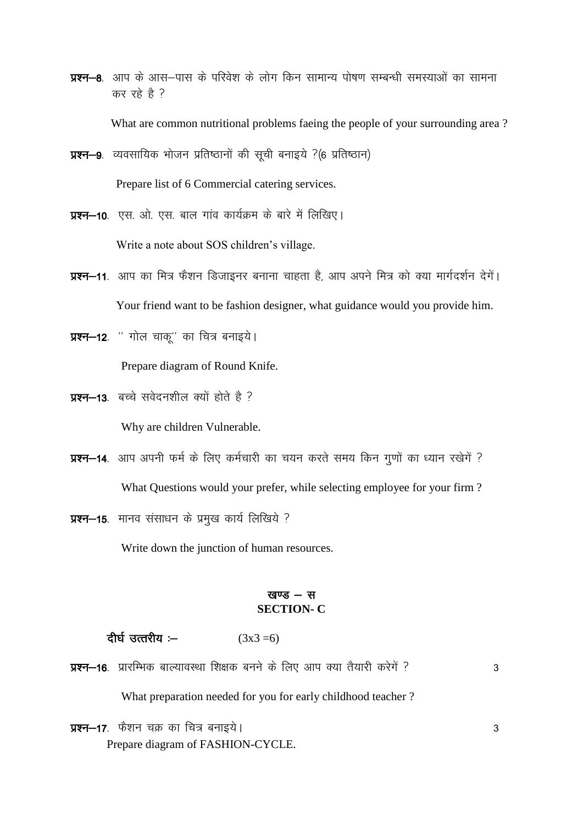प्रश्न-8. आप के आस-पास के परिवेश के लोग किन सामान्य पोषण सम्बन्धी समस्याओं का सामना कर रहे है ?

What are common nutritional problems faeing the people of your surrounding area?

- **प्रश्न-9**. व्यवसायिक भोजन प्रतिष्ठानों की सूची बनाइये ?(6 प्रतिष्ठान) Prepare list of 6 Commercial catering services.
- **प्रश्न–10**. एस. ओ. एस. बाल गांव कार्यक्रम के बारे में लिखिए। Write a note about SOS children's village.
- प्रश्न–11. आप का मित्र फैशन डिजाइनर बनाना चाहता है, आप अपने मित्र को क्या मार्गदर्शन देगें। Your friend want to be fashion designer, what guidance would you provide him.
- प्रश्न-12. " गोल चाकू" का चित्र बनाइये। Prepare diagram of Round Knife.
- प्रश्न-13. बच्चे सवेदनशील क्यों होते है ? Why are children Vulnerable.
- प्रश्न-14. आप अपनी फर्म के लिए कर्मचारी का चयन करते समय किन गुणों का ध्यान रखेगें ? What Questions would your prefer, while selecting employee for your firm?
- प्रश्न-15. मानव संसाधन के प्रमुख कार्य लिखिये ?

Write down the junction of human resources.

#### खण्ड $-$  स **SECTION-C**

दीर्घ उत्तरीय :–  $(3x3=6)$ 

प्रश्न-16. प्रारम्भिक बाल्यावस्था शिक्षक बनने के लिए आप क्या तैयारी करेगें ? 3

What preparation needed for you for early childhood teacher?

प्रश्न-17. फैशन चक्र का चित्र बनाइये। Prepare diagram of FASHION-CYCLE.